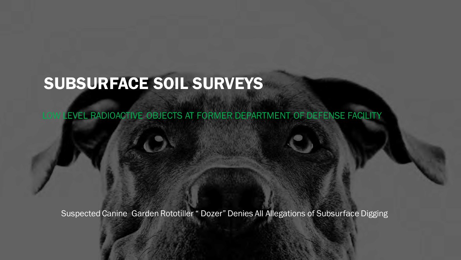# SUBSURFACE SOIL SURVEYS

LOW LEVEL RADIOACTIVE OBJECTS AT FORMER DEPARTMENT OF DEFENSE FACILITY

Suspected Canine Garden Rototiller " Dozer" Denies All Allegations of Subsurface Digging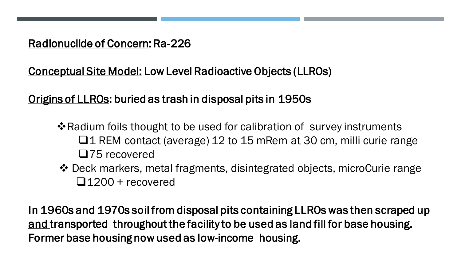### Radionuclide of Concern: Ra-226

Conceptual Site Model: Low Level Radioactive Objects (LLROs)

### Origins of LLROs: buried as trash in disposal pits in 1950s

- ❖Radium foils thought to be used for calibration of survey instruments ❑1 REM contact (average) 12 to 15 mRem at 30 cm, milli curie range ❑75 recovered
- ❖ Deck markers, metal fragments, disintegrated objects, microCurie range ❑1200 + recovered

In 1960s and 1970s soil from disposal pits containing LLROs was then scraped up and transported throughout the facility to be used as land fill for base housing. Former base housing now used as low-income housing.